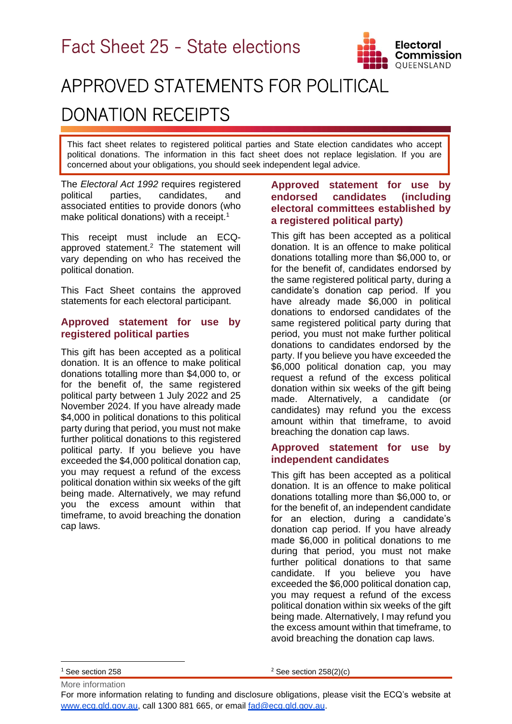

# APPROVED STATEMENTS FOR POLITICAL DONATION RECEIPTS

This fact sheet relates to registered political parties and State election candidates who accept political donations. The information in this fact sheet does not replace legislation. If you are concerned about your obligations, you should seek independent legal advice.

The *Electoral Act 1992* requires registered political parties, candidates, and associated entities to provide donors (who make political donations) with a receipt.<sup>1</sup>

This receipt must include an ECQapproved statement. <sup>2</sup> The statement will vary depending on who has received the political donation.

This Fact Sheet contains the approved statements for each electoral participant.

#### **Approved statement for use by registered political parties**

This gift has been accepted as a political donation. It is an offence to make political donations totalling more than \$4,000 to, or for the benefit of, the same registered political party between 1 July 2022 and 25 November 2024. If you have already made \$4,000 in political donations to this political party during that period, you must not make further political donations to this registered political party. If you believe you have exceeded the \$4,000 political donation cap, you may request a refund of the excess political donation within six weeks of the gift being made. Alternatively, we may refund you the excess amount within that timeframe, to avoid breaching the donation cap laws.

## **Approved statement for use by endorsed candidates (including electoral committees established by a registered political party)**

This gift has been accepted as a political donation. It is an offence to make political donations totalling more than \$6,000 to, or for the benefit of, candidates endorsed by the same registered political party, during a candidate's donation cap period. If you have already made \$6,000 in political donations to endorsed candidates of the same registered political party during that period, you must not make further political donations to candidates endorsed by the party. If you believe you have exceeded the \$6,000 political donation cap, you may request a refund of the excess political donation within six weeks of the gift being made. Alternatively, a candidate (or candidates) may refund you the excess amount within that timeframe, to avoid breaching the donation cap laws.

## **Approved statement for use by independent candidates**

This gift has been accepted as a political donation. It is an offence to make political donations totalling more than \$6,000 to, or for the benefit of, an independent candidate for an election, during a candidate's donation cap period. If you have already made \$6,000 in political donations to me during that period, you must not make further political donations to that same candidate. If you believe you have exceeded the \$6,000 political donation cap, you may request a refund of the excess political donation within six weeks of the gift being made. Alternatively, I may refund you the excess amount within that timeframe, to avoid breaching the donation cap laws.

More information <sup>1</sup> See section 258

 $2$  See section 258(2)(c)

For more information relating to funding and disclosure obligations, please visit the ECQ's website at [www.ecq.qld.gov.au,](http://www.ecq.qld.gov.au/) call 1300 881 665, or email [fad@ecq.qld.gov.au.](mailto:fad@ecq.qld.gov.au)